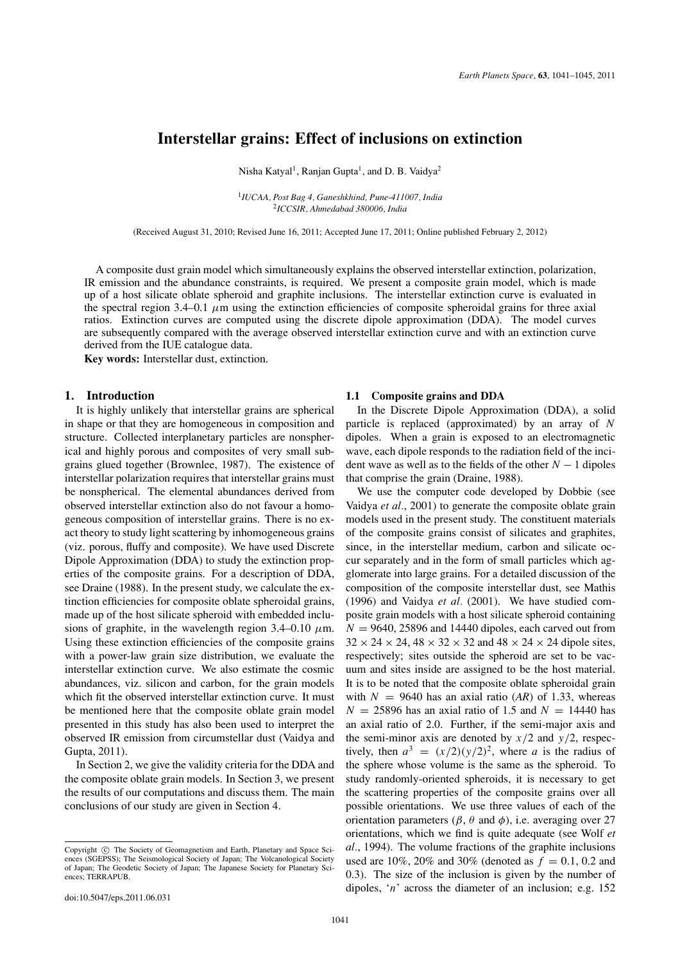# **Interstellar grains: Effect of inclusions on extinction**

Nisha Katyal<sup>1</sup>, Ranjan Gupta<sup>1</sup>, and D. B. Vaidya<sup>2</sup>

<sup>1</sup>*IUCAA, Post Bag 4, Ganeshkhind, Pune-411007, India* <sup>2</sup>*ICCSIR, Ahmedabad 380006, India*

(Received August 31, 2010; Revised June 16, 2011; Accepted June 17, 2011; Online published February 2, 2012)

A composite dust grain model which simultaneously explains the observed interstellar extinction, polarization, IR emission and the abundance constraints, is required. We present a composite grain model, which is made up of a host silicate oblate spheroid and graphite inclusions. The interstellar extinction curve is evaluated in the spectral region  $3.4-0.1$   $\mu$ m using the extinction efficiencies of composite spheroidal grains for three axial ratios. Extinction curves are computed using the discrete dipole approximation (DDA). The model curves are subsequently compared with the average observed interstellar extinction curve and with an extinction curve derived from the IUE catalogue data.

**Key words:** Interstellar dust, extinction.

## **1. Introduction**

It is highly unlikely that interstellar grains are spherical in shape or that they are homogeneous in composition and structure. Collected interplanetary particles are nonspherical and highly porous and composites of very small subgrains glued together (Brownlee, 1987). The existence of interstellar polarization requires that interstellar grains must be nonspherical. The elemental abundances derived from observed interstellar extinction also do not favour a homogeneous composition of interstellar grains. There is no exact theory to study light scattering by inhomogeneous grains (viz. porous, fluffy and composite). We have used Discrete Dipole Approximation (DDA) to study the extinction properties of the composite grains. For a description of DDA, see Draine (1988). In the present study, we calculate the extinction efficiencies for composite oblate spheroidal grains, made up of the host silicate spheroid with embedded inclusions of graphite, in the wavelength region 3.4–0.10  $\mu$ m. Using these extinction efficiencies of the composite grains with a power-law grain size distribution, we evaluate the interstellar extinction curve. We also estimate the cosmic abundances, viz. silicon and carbon, for the grain models which fit the observed interstellar extinction curve. It must be mentioned here that the composite oblate grain model presented in this study has also been used to interpret the observed IR emission from circumstellar dust (Vaidya and Gupta, 2011).

In Section 2, we give the validity criteria for the DDA and the composite oblate grain models. In Section 3, we present the results of our computations and discuss them. The main conclusions of our study are given in Section 4.

### **1.1 Composite grains and DDA**

In the Discrete Dipole Approximation (DDA), a solid particle is replaced (approximated) by an array of *N* dipoles. When a grain is exposed to an electromagnetic wave, each dipole responds to the radiation field of the incident wave as well as to the fields of the other  $N - 1$  dipoles that comprise the grain (Draine, 1988).

We use the computer code developed by Dobbie (see Vaidya *et al.*, 2001) to generate the composite oblate grain models used in the present study. The constituent materials of the composite grains consist of silicates and graphites, since, in the interstellar medium, carbon and silicate occur separately and in the form of small particles which agglomerate into large grains. For a detailed discussion of the composition of the composite interstellar dust, see Mathis (1996) and Vaidya *et al.* (2001). We have studied composite grain models with a host silicate spheroid containing  $N = 9640$ , 25896 and 14440 dipoles, each carved out from  $32 \times 24 \times 24$ ,  $48 \times 32 \times 32$  and  $48 \times 24 \times 24$  dipole sites, respectively; sites outside the spheroid are set to be vacuum and sites inside are assigned to be the host material. It is to be noted that the composite oblate spheroidal grain with  $N = 9640$  has an axial ratio (AR) of 1.33, whereas  $N = 25896$  has an axial ratio of 1.5 and  $N = 14440$  has an axial ratio of 2.0. Further, if the semi-major axis and the semi-minor axis are denoted by  $x/2$  and  $y/2$ , respectively, then  $a^3 = (x/2)(y/2)^2$ , where *a* is the radius of the sphere whose volume is the same as the spheroid. To study randomly-oriented spheroids, it is necessary to get the scattering properties of the composite grains over all possible orientations. We use three values of each of the orientation parameters ( $\beta$ ,  $\theta$  and  $\phi$ ), i.e. averaging over 27 orientations, which we find is quite adequate (see Wolf *et al.*, 1994). The volume fractions of the graphite inclusions used are 10%, 20% and 30% (denoted as  $f = 0.1, 0.2$  and 0.3). The size of the inclusion is given by the number of dipoles, '*n*' across the diameter of an inclusion; e.g. 152

Copyright  $\odot$  The Society of Geomagnetism and Earth, Planetary and Space Sciences (SGEPSS); The Seismological Society of Japan; The Volcanological Society of Japan; The Geodetic Society of Japan; The Japanese Society for Planetary Sciences; TERRAPUB.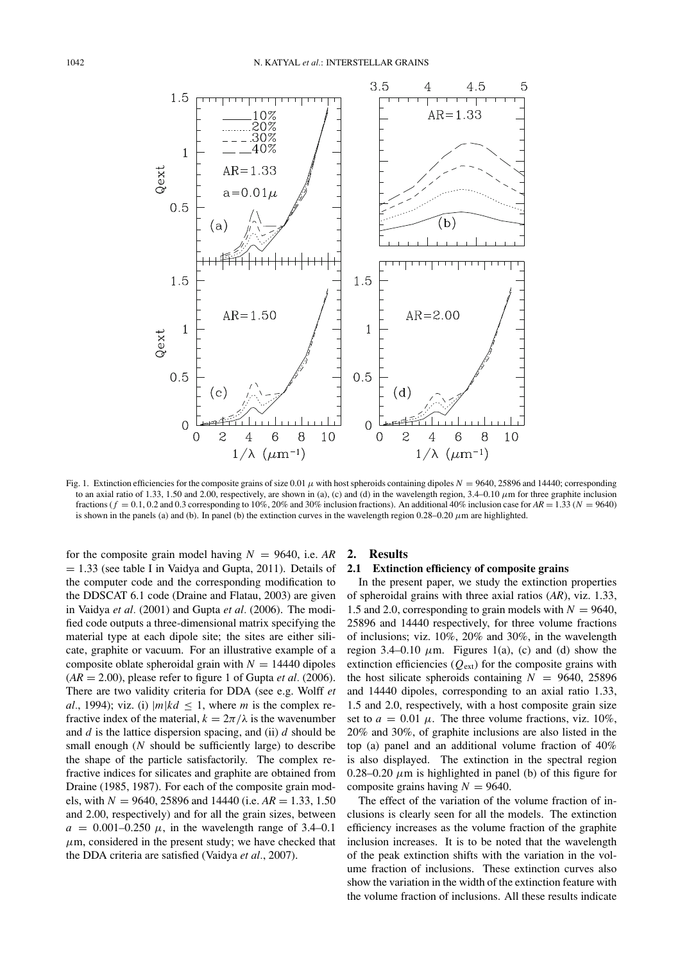

Fig. 1. Extinction efficiencies for the composite grains of size 0.01  $\mu$  with host spheroids containing dipoles  $N = 9640$ , 25896 and 14440; corresponding to an axial ratio of 1.33, 1.50 and 2.00, respectively, are shown in (a), (c) and (d) in the wavelength region,  $3.4-0.10 \mu m$  for three graphite inclusion fractions ( $f = 0.1, 0.2$  and 0.3 corresponding to 10%, 20% and 30% inclusion fractions). An additional 40% inclusion case for  $AR = 1.33$  ( $N = 9640$ ) is shown in the panels (a) and (b). In panel (b) the extinction curves in the wavelength region  $0.28-0.20 \mu m$  are highlighted.

for the composite grain model having  $N = 9640$ , i.e.  $AR$  $= 1.33$  (see table I in Vaidya and Gupta, 2011). Details of the computer code and the corresponding modification to the DDSCAT 6.1 code (Draine and Flatau, 2003) are given in Vaidya *et al.* (2001) and Gupta *et al.* (2006). The modified code outputs a three-dimensional matrix specifying the material type at each dipole site; the sites are either silicate, graphite or vacuum. For an illustrative example of a composite oblate spheroidal grain with  $N = 14440$  dipoles  $(AR = 2.00)$ , please refer to figure 1 of Gupta *et al.* (2006). There are two validity criteria for DDA (see e.g. Wolff *et al.*, 1994); viz. (i)  $|m|kd \le 1$ , where *m* is the complex refractive index of the material,  $k = 2\pi/\lambda$  is the wavenumber and *d* is the lattice dispersion spacing, and (ii) *d* should be small enough (*N* should be sufficiently large) to describe the shape of the particle satisfactorily. The complex refractive indices for silicates and graphite are obtained from Draine (1985, 1987). For each of the composite grain models, with  $N = 9640$ , 25896 and 14440 (i.e.  $AR = 1.33, 1.50$ and 2.00, respectively) and for all the grain sizes, between  $a = 0.001 - 0.250 \mu$ , in the wavelength range of 3.4–0.1  $\mu$ m, considered in the present study; we have checked that the DDA criteria are satisfied (Vaidya *et al.*, 2007).

#### **2. Results**

# **2.1 Extinction efficiency of composite grains**

In the present paper, we study the extinction properties of spheroidal grains with three axial ratios (*AR*), viz. 1.33, 1.5 and 2.0, corresponding to grain models with  $N = 9640$ , 25896 and 14440 respectively, for three volume fractions of inclusions; viz. 10%, 20% and 30%, in the wavelength region 3.4–0.10  $\mu$ m. Figures 1(a), (c) and (d) show the extinction efficiencies  $(Q_{ext})$  for the composite grains with the host silicate spheroids containing  $N = 9640, 25896$ and 14440 dipoles, corresponding to an axial ratio 1.33, 1.5 and 2.0, respectively, with a host composite grain size set to  $a = 0.01 \mu$ . The three volume fractions, viz. 10%, 20% and 30%, of graphite inclusions are also listed in the top (a) panel and an additional volume fraction of 40% is also displayed. The extinction in the spectral region  $0.28-0.20 \mu m$  is highlighted in panel (b) of this figure for composite grains having  $N = 9640$ .

The effect of the variation of the volume fraction of inclusions is clearly seen for all the models. The extinction efficiency increases as the volume fraction of the graphite inclusion increases. It is to be noted that the wavelength of the peak extinction shifts with the variation in the volume fraction of inclusions. These extinction curves also show the variation in the width of the extinction feature with the volume fraction of inclusions. All these results indicate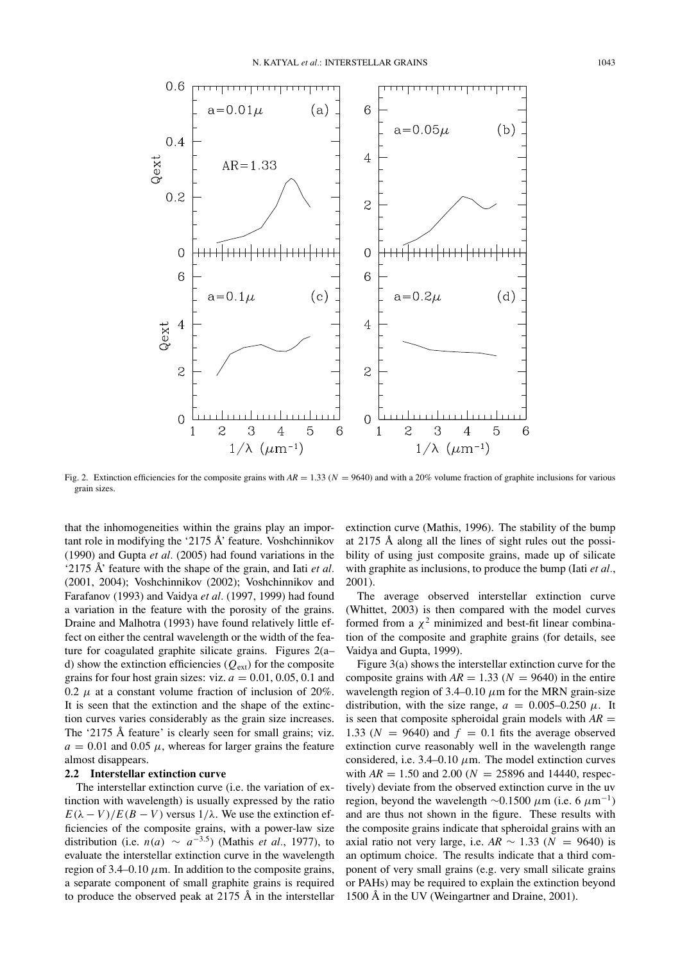

Fig. 2. Extinction efficiencies for the composite grains with  $AR = 1.33$  ( $N = 9640$ ) and with a 20% volume fraction of graphite inclusions for various grain sizes.

that the inhomogeneities within the grains play an important role in modifying the '2175  $\AA$ ' feature. Voshchinnikov (1990) and Gupta *et al.* (2005) had found variations in the '2175  $\AA$ ' feature with the shape of the grain, and Iati *et al.* (2001, 2004); Voshchinnikov (2002); Voshchinnikov and Farafanov (1993) and Vaidya *et al.* (1997, 1999) had found a variation in the feature with the porosity of the grains. Draine and Malhotra (1993) have found relatively little effect on either the central wavelength or the width of the feature for coagulated graphite silicate grains. Figures 2(a– d) show the extinction efficiencies  $(Q_{ext})$  for the composite grains for four host grain sizes: viz.  $a = 0.01, 0.05, 0.1$  and 0.2  $\mu$  at a constant volume fraction of inclusion of 20%. It is seen that the extinction and the shape of the extinction curves varies considerably as the grain size increases. The '2175 Å feature' is clearly seen for small grains; viz.  $a = 0.01$  and 0.05  $\mu$ , whereas for larger grains the feature almost disappears.

# **2.2 Interstellar extinction curve**

The interstellar extinction curve (i.e. the variation of extinction with wavelength) is usually expressed by the ratio  $E(\lambda - V)/E(B - V)$  versus  $1/\lambda$ . We use the extinction efficiencies of the composite grains, with a power-law size distribution (i.e.  $n(a) \sim a^{-3.5}$ ) (Mathis *et al.*, 1977), to evaluate the interstellar extinction curve in the wavelength region of 3.4–0.10  $\mu$ m. In addition to the composite grains, a separate component of small graphite grains is required to produce the observed peak at  $2175 \text{ Å}$  in the interstellar

extinction curve (Mathis, 1996). The stability of the bump at  $2175$  Å along all the lines of sight rules out the possibility of using just composite grains, made up of silicate with graphite as inclusions, to produce the bump (Iati *et al.*, 2001).

The average observed interstellar extinction curve (Whittet, 2003) is then compared with the model curves formed from a  $\chi^2$  minimized and best-fit linear combination of the composite and graphite grains (for details, see Vaidya and Gupta, 1999).

Figure 3(a) shows the interstellar extinction curve for the composite grains with  $AR = 1.33$  ( $N = 9640$ ) in the entire wavelength region of 3.4–0.10  $\mu$ m for the MRN grain-size distribution, with the size range,  $a = 0.005{\text -}0.250 \mu$ . It is seen that composite spheroidal grain models with  $AR =$ 1.33 ( $N = 9640$ ) and  $f = 0.1$  fits the average observed extinction curve reasonably well in the wavelength range considered, i.e.  $3.4-0.10 \mu$ m. The model extinction curves with  $AR = 1.50$  and  $2.00$  ( $N = 25896$  and 14440, respectively) deviate from the observed extinction curve in the uv region, beyond the wavelength  $\sim$ 0.1500 μm (i.e. 6 μm<sup>-1</sup>) and are thus not shown in the figure. These results with the composite grains indicate that spheroidal grains with an axial ratio not very large, i.e.  $AR \sim 1.33$  ( $N = 9640$ ) is an optimum choice. The results indicate that a third component of very small grains (e.g. very small silicate grains or PAHs) may be required to explain the extinction beyond 1500 Å in the UV (Weingartner and Draine,  $2001$ ).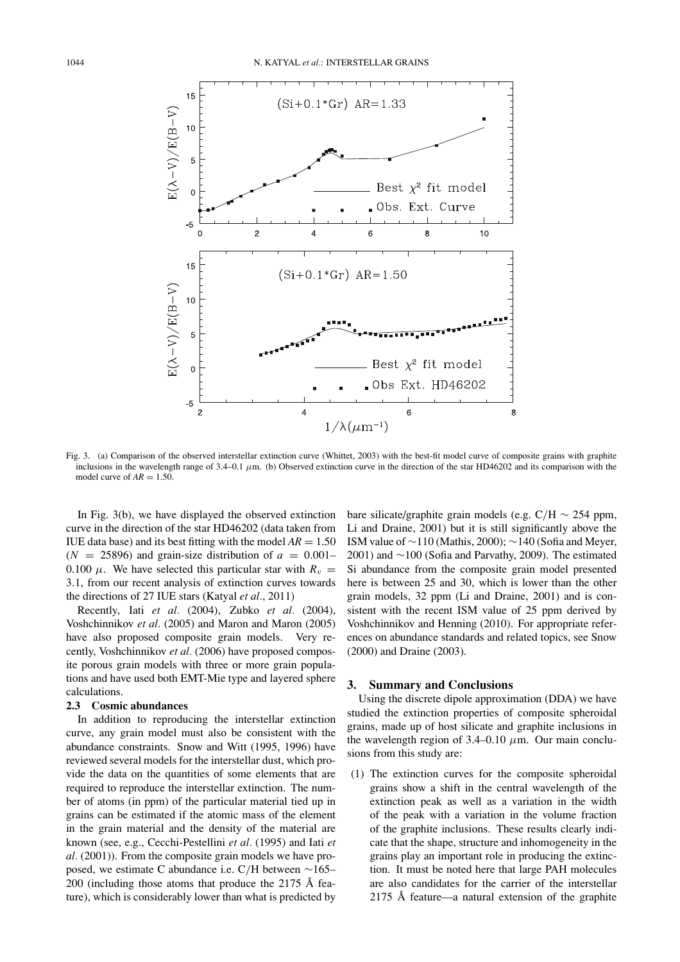

Fig. 3. (a) Comparison of the observed interstellar extinction curve (Whittet, 2003) with the best-fit model curve of composite grains with graphite inclusions in the wavelength range of 3.4–0.1 μm. (b) Observed extinction curve in the direction of the star HD46202 and its comparison with the model curve of  $AR = 1.50$ .

In Fig. 3(b), we have displayed the observed extinction curve in the direction of the star HD46202 (data taken from IUE data base) and its best fitting with the model  $AR = 1.50$  $(N = 25896)$  and grain-size distribution of  $a = 0.001-$ 0.100  $\mu$ . We have selected this particular star with  $R_v =$ 3.1, from our recent analysis of extinction curves towards the directions of 27 IUE stars (Katyal *et al.*, 2011)

Recently, Iati *et al.* (2004), Zubko *et al.* (2004), Voshchinnikov *et al.* (2005) and Maron and Maron (2005) have also proposed composite grain models. Very recently, Voshchinnikov *et al.* (2006) have proposed composite porous grain models with three or more grain populations and have used both EMT-Mie type and layered sphere calculations.

## **2.3 Cosmic abundances**

In addition to reproducing the interstellar extinction curve, any grain model must also be consistent with the abundance constraints. Snow and Witt (1995, 1996) have reviewed several models for the interstellar dust, which provide the data on the quantities of some elements that are required to reproduce the interstellar extinction. The number of atoms (in ppm) of the particular material tied up in grains can be estimated if the atomic mass of the element in the grain material and the density of the material are known (see, e.g., Cecchi-Pestellini *et al.* (1995) and Iati *et al.* (2001)). From the composite grain models we have proposed, we estimate C abundance i.e. C/H between ∼165– 200 (including those atoms that produce the 2175  $\AA$  feature), which is considerably lower than what is predicted by

bare silicate/graphite grain models (e.g.  $C/H \sim 254$  ppm, Li and Draine, 2001) but it is still significantly above the ISM value of  $\sim$ 110 (Mathis, 2000);  $\sim$ 140 (Sofia and Meyer, 2001) and ∼100 (Sofia and Parvathy, 2009). The estimated Si abundance from the composite grain model presented here is between 25 and 30, which is lower than the other grain models, 32 ppm (Li and Draine, 2001) and is consistent with the recent ISM value of 25 ppm derived by Voshchinnikov and Henning (2010). For appropriate references on abundance standards and related topics, see Snow (2000) and Draine (2003).

### **3. Summary and Conclusions**

Using the discrete dipole approximation (DDA) we have studied the extinction properties of composite spheroidal grains, made up of host silicate and graphite inclusions in the wavelength region of  $3.4-0.10 \mu m$ . Our main conclusions from this study are:

(1) The extinction curves for the composite spheroidal grains show a shift in the central wavelength of the extinction peak as well as a variation in the width of the peak with a variation in the volume fraction of the graphite inclusions. These results clearly indicate that the shape, structure and inhomogeneity in the grains play an important role in producing the extinction. It must be noted here that large PAH molecules are also candidates for the carrier of the interstellar 2175 Å feature—a natural extension of the graphite